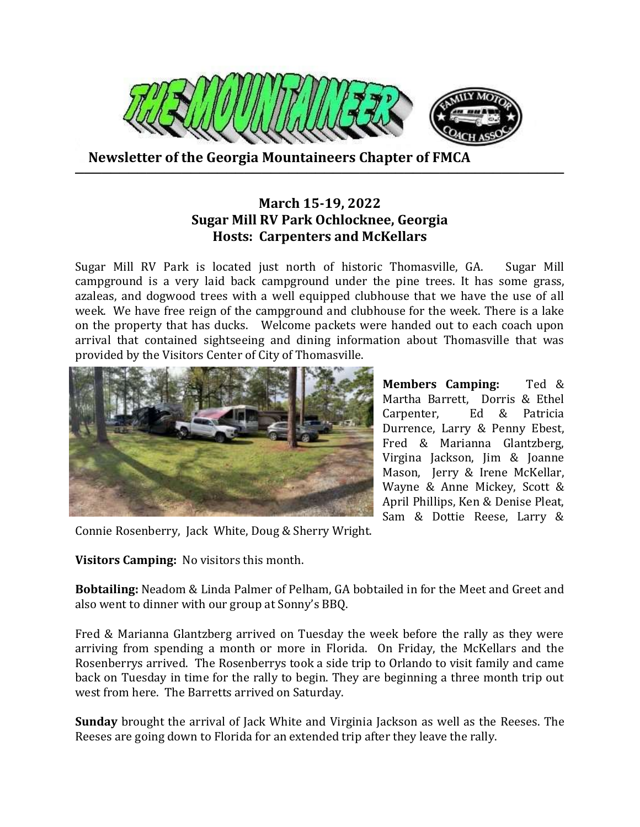

 **Newsletter of the Georgia Mountaineers Chapter of FMCA**

## **March 15-19, 2022 Sugar Mill RV Park Ochlocknee, Georgia Hosts: Carpenters and McKellars**

**───────────────────────────────────────────────────────**

Sugar Mill RV Park is located just north of historic Thomasville, GA. Sugar Mill campground is a very laid back campground under the pine trees. It has some grass, azaleas, and dogwood trees with a well equipped clubhouse that we have the use of all week. We have free reign of the campground and clubhouse for the week. There is a lake on the property that has ducks. Welcome packets were handed out to each coach upon arrival that contained sightseeing and dining information about Thomasville that was provided by the Visitors Center of City of Thomasville.



**Members Camping:** Ted & Martha Barrett, Dorris & Ethel Carpenter, Ed & Patricia Durrence, Larry & Penny Ebest, Fred & Marianna Glantzberg, Virgina Jackson, Jim & Joanne Mason, Jerry & Irene McKellar, Wayne & Anne Mickey, Scott & April Phillips, Ken & Denise Pleat, Sam & Dottie Reese, Larry &

Connie Rosenberry, Jack White, Doug & Sherry Wright.

**Visitors Camping:** No visitors this month.

**Bobtailing:** Neadom & Linda Palmer of Pelham, GA bobtailed in for the Meet and Greet and also went to dinner with our group at Sonny's BBQ.

Fred & Marianna Glantzberg arrived on Tuesday the week before the rally as they were arriving from spending a month or more in Florida. On Friday, the McKellars and the Rosenberrys arrived. The Rosenberrys took a side trip to Orlando to visit family and came back on Tuesday in time for the rally to begin. They are beginning a three month trip out west from here. The Barretts arrived on Saturday.

**Sunday** brought the arrival of Jack White and Virginia Jackson as well as the Reeses. The Reeses are going down to Florida for an extended trip after they leave the rally.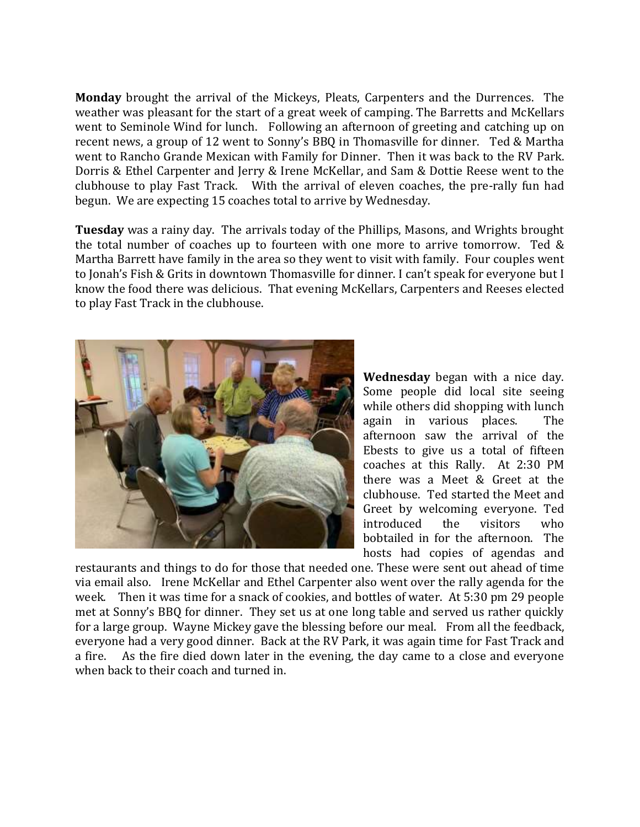**Monday** brought the arrival of the Mickeys, Pleats, Carpenters and the Durrences. The weather was pleasant for the start of a great week of camping. The Barretts and McKellars went to Seminole Wind for lunch. Following an afternoon of greeting and catching up on recent news, a group of 12 went to Sonny's BBQ in Thomasville for dinner. Ted & Martha went to Rancho Grande Mexican with Family for Dinner. Then it was back to the RV Park. Dorris & Ethel Carpenter and Jerry & Irene McKellar, and Sam & Dottie Reese went to the clubhouse to play Fast Track. With the arrival of eleven coaches, the pre-rally fun had begun. We are expecting 15 coaches total to arrive by Wednesday.

**Tuesday** was a rainy day. The arrivals today of the Phillips, Masons, and Wrights brought the total number of coaches up to fourteen with one more to arrive tomorrow. Ted & Martha Barrett have family in the area so they went to visit with family. Four couples went to Jonah's Fish & Grits in downtown Thomasville for dinner. I can't speak for everyone but I know the food there was delicious. That evening McKellars, Carpenters and Reeses elected to play Fast Track in the clubhouse.



**Wednesday** began with a nice day. Some people did local site seeing while others did shopping with lunch again in various places. The afternoon saw the arrival of the Ebests to give us a total of fifteen coaches at this Rally. At 2:30 PM there was a Meet & Greet at the clubhouse. Ted started the Meet and Greet by welcoming everyone. Ted introduced the visitors who bobtailed in for the afternoon. The hosts had copies of agendas and

restaurants and things to do for those that needed one. These were sent out ahead of time via email also. Irene McKellar and Ethel Carpenter also went over the rally agenda for the week. Then it was time for a snack of cookies, and bottles of water. At 5:30 pm 29 people met at Sonny's BBQ for dinner. They set us at one long table and served us rather quickly for a large group. Wayne Mickey gave the blessing before our meal. From all the feedback, everyone had a very good dinner. Back at the RV Park, it was again time for Fast Track and a fire. As the fire died down later in the evening, the day came to a close and everyone when back to their coach and turned in.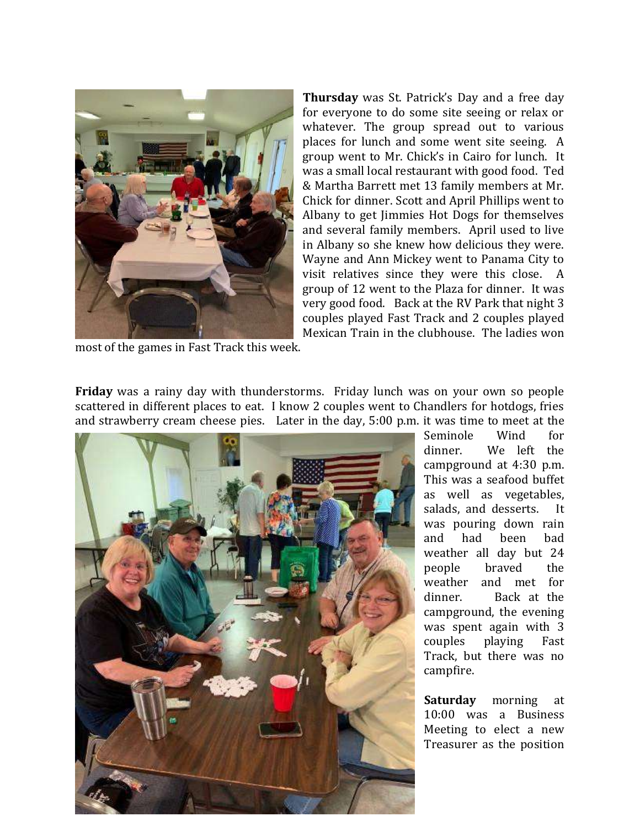

**Thursday** was St. Patrick's Day and a free day for everyone to do some site seeing or relax or whatever. The group spread out to various places for lunch and some went site seeing. A group went to Mr. Chick's in Cairo for lunch. It was a small local restaurant with good food. Ted & Martha Barrett met 13 family members at Mr. Chick for dinner. Scott and April Phillips went to Albany to get Jimmies Hot Dogs for themselves and several family members. April used to live in Albany so she knew how delicious they were. Wayne and Ann Mickey went to Panama City to visit relatives since they were this close. A group of 12 went to the Plaza for dinner. It was very good food. Back at the RV Park that night 3 couples played Fast Track and 2 couples played Mexican Train in the clubhouse. The ladies won

most of the games in Fast Track this week.

**Friday** was a rainy day with thunderstorms. Friday lunch was on your own so people scattered in different places to eat. I know 2 couples went to Chandlers for hotdogs, fries and strawberry cream cheese pies. Later in the day, 5:00 p.m. it was time to meet at the



Seminole Wind for dinner. We left the campground at 4:30 p.m. This was a seafood buffet as well as vegetables, salads, and desserts. It was pouring down rain and had been bad weather all day but 24 people braved the weather and met for dinner. Back at the campground, the evening was spent again with 3 couples playing Fast Track, but there was no campfire.

**Saturday** morning at 10:00 was a Business Meeting to elect a new Treasurer as the position